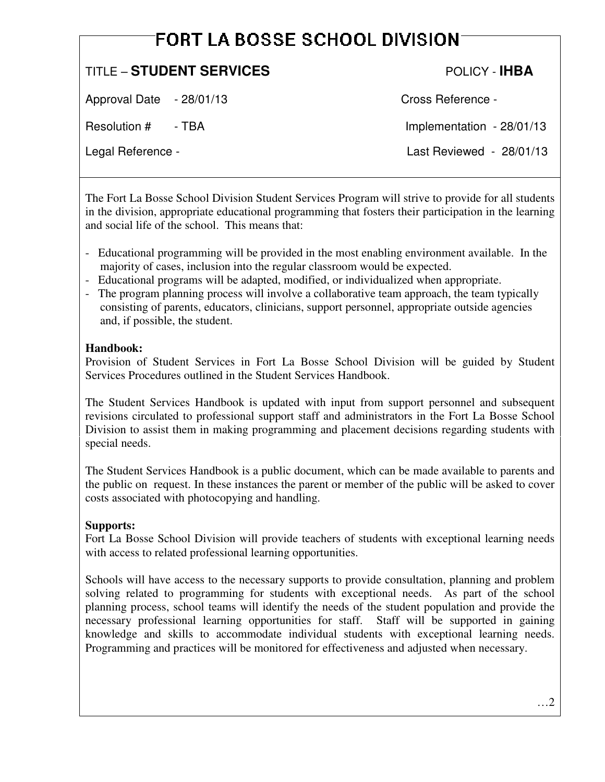# FORT LA BOSSE SCHOOL DIVISION

## TITLE – **STUDENT SERVICES** POLICY - **IHBA**

Approval Date  $-28/01/13$  Cross Reference -

Resolution # - TBA Implementation - 28/01/13

Legal Reference - Last Reviewed - 28/01/13

The Fort La Bosse School Division Student Services Program will strive to provide for all students in the division, appropriate educational programming that fosters their participation in the learning and social life of the school. This means that:

- Educational programming will be provided in the most enabling environment available. In the majority of cases, inclusion into the regular classroom would be expected.
- Educational programs will be adapted, modified, or individualized when appropriate.
- The program planning process will involve a collaborative team approach, the team typically consisting of parents, educators, clinicians, support personnel, appropriate outside agencies and, if possible, the student.

#### **Handbook:**

Provision of Student Services in Fort La Bosse School Division will be guided by Student Services Procedures outlined in the Student Services Handbook.

The Student Services Handbook is updated with input from support personnel and subsequent revisions circulated to professional support staff and administrators in the Fort La Bosse School Division to assist them in making programming and placement decisions regarding students with special needs.

The Student Services Handbook is a public document, which can be made available to parents and the public on request. In these instances the parent or member of the public will be asked to cover costs associated with photocopying and handling.

### **Supports:**

Fort La Bosse School Division will provide teachers of students with exceptional learning needs with access to related professional learning opportunities.

Schools will have access to the necessary supports to provide consultation, planning and problem solving related to programming for students with exceptional needs. As part of the school planning process, school teams will identify the needs of the student population and provide the necessary professional learning opportunities for staff. Staff will be supported in gaining knowledge and skills to accommodate individual students with exceptional learning needs. Programming and practices will be monitored for effectiveness and adjusted when necessary.